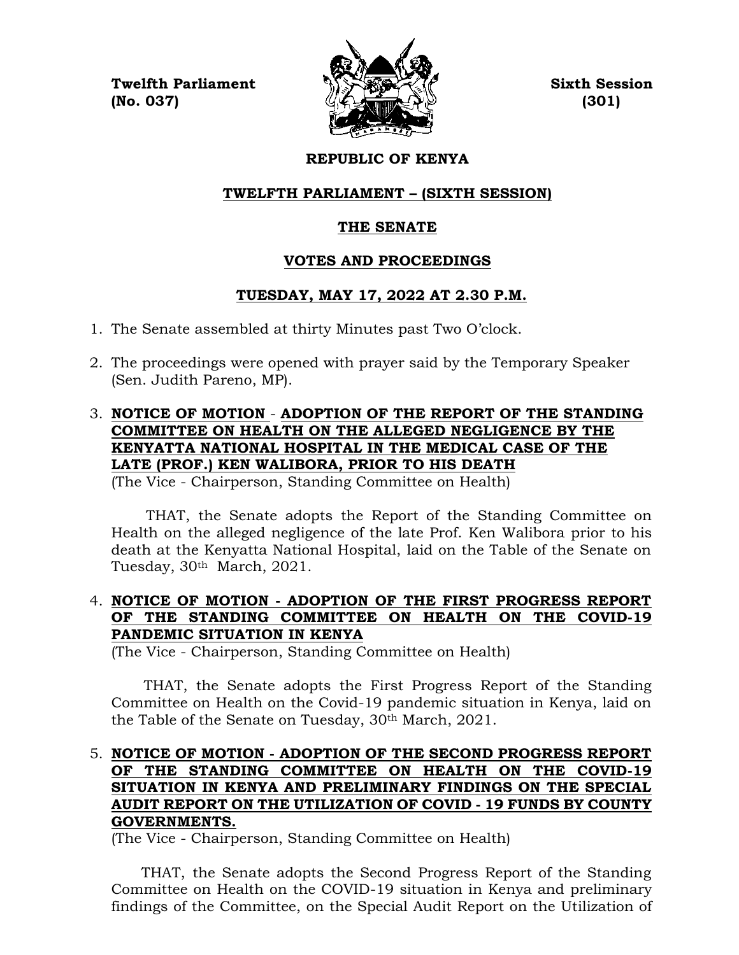**Twelfth Parliament Sixth Session**  $\mathbb{Q}$  (No. 037) (301)



# **REPUBLIC OF KENYA**

# **TWELFTH PARLIAMENT – (SIXTH SESSION)**

# **THE SENATE**

# **VOTES AND PROCEEDINGS**

# **TUESDAY, MAY 17, 2022 AT 2.30 P.M.**

- 1. The Senate assembled at thirty Minutes past Two O'clock.
- 2. The proceedings were opened with prayer said by the Temporary Speaker (Sen. Judith Pareno, MP).
- 3. **NOTICE OF MOTION ADOPTION OF THE REPORT OF THE STANDING COMMITTEE ON HEALTH ON THE ALLEGED NEGLIGENCE BY THE KENYATTA NATIONAL HOSPITAL IN THE MEDICAL CASE OF THE LATE (PROF.) KEN WALIBORA, PRIOR TO HIS DEATH** (The Vice - Chairperson, Standing Committee on Health)

 THAT, the Senate adopts the Report of the Standing Committee on Health on the alleged negligence of the late Prof. Ken Walibora prior to his death at the Kenyatta National Hospital, laid on the Table of the Senate on Tuesday, 30th March, 2021.

# 4. **NOTICE OF MOTION - ADOPTION OF THE FIRST PROGRESS REPORT OF THE STANDING COMMITTEE ON HEALTH ON THE COVID-19 PANDEMIC SITUATION IN KENYA**

(The Vice - Chairperson, Standing Committee on Health)

 THAT, the Senate adopts the First Progress Report of the Standing Committee on Health on the Covid-19 pandemic situation in Kenya, laid on the Table of the Senate on Tuesday, 30<sup>th</sup> March, 2021.

## 5. **NOTICE OF MOTION - ADOPTION OF THE SECOND PROGRESS REPORT OF THE STANDING COMMITTEE ON HEALTH ON THE COVID-19 SITUATION IN KENYA AND PRELIMINARY FINDINGS ON THE SPECIAL AUDIT REPORT ON THE UTILIZATION OF COVID - 19 FUNDS BY COUNTY GOVERNMENTS.**

(The Vice - Chairperson, Standing Committee on Health)

 THAT, the Senate adopts the Second Progress Report of the Standing Committee on Health on the COVID-19 situation in Kenya and preliminary findings of the Committee, on the Special Audit Report on the Utilization of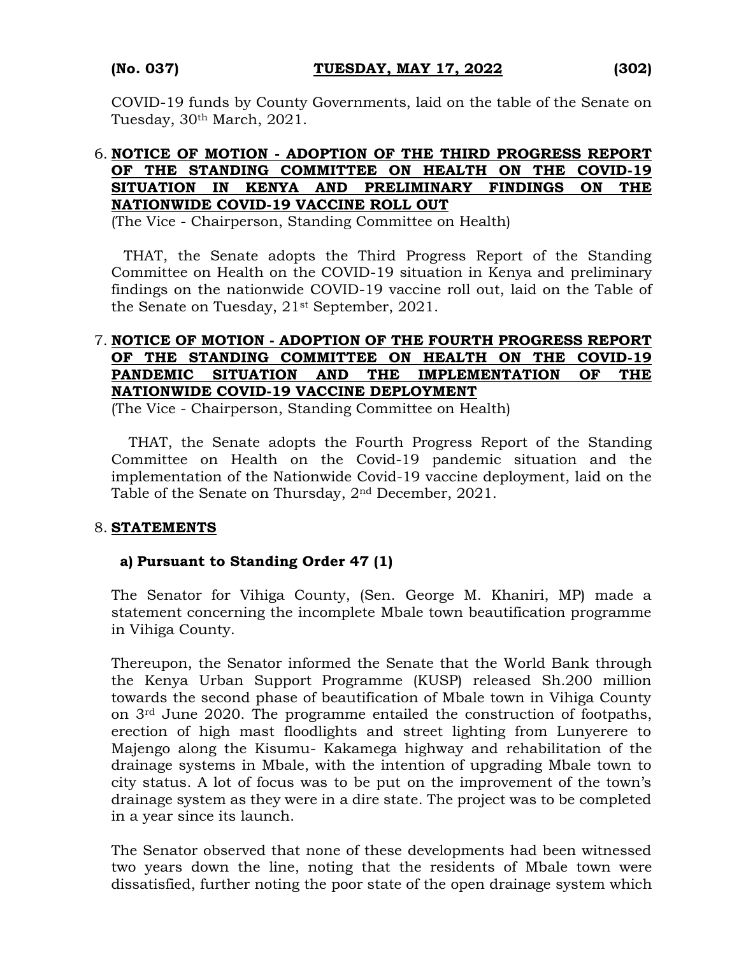COVID-19 funds by County Governments, laid on the table of the Senate on Tuesday, 30th March, 2021.

## 6. **NOTICE OF MOTION - ADOPTION OF THE THIRD PROGRESS REPORT OF THE STANDING COMMITTEE ON HEALTH ON THE COVID-19 SITUATION IN KENYA AND PRELIMINARY FINDINGS ON THE NATIONWIDE COVID-19 VACCINE ROLL OUT**

(The Vice - Chairperson, Standing Committee on Health)

THAT, the Senate adopts the Third Progress Report of the Standing Committee on Health on the COVID-19 situation in Kenya and preliminary findings on the nationwide COVID-19 vaccine roll out, laid on the Table of the Senate on Tuesday, 21st September, 2021.

## 7. **NOTICE OF MOTION - ADOPTION OF THE FOURTH PROGRESS REPORT OF THE STANDING COMMITTEE ON HEALTH ON THE COVID-19 PANDEMIC SITUATION AND THE IMPLEMENTATION OF THE NATIONWIDE COVID-19 VACCINE DEPLOYMENT**

(The Vice - Chairperson, Standing Committee on Health)

THAT, the Senate adopts the Fourth Progress Report of the Standing Committee on Health on the Covid-19 pandemic situation and the implementation of the Nationwide Covid-19 vaccine deployment, laid on the Table of the Senate on Thursday, 2nd December, 2021.

### 8. **STATEMENTS**

### **a) Pursuant to Standing Order 47 (1)**

The Senator for Vihiga County, (Sen. George M. Khaniri, MP) made a statement concerning the incomplete Mbale town beautification programme in Vihiga County.

Thereupon, the Senator informed the Senate that the World Bank through the Kenya Urban Support Programme (KUSP) released Sh.200 million towards the second phase of beautification of Mbale town in Vihiga County on 3rd June 2020. The programme entailed the construction of footpaths, erection of high mast floodlights and street lighting from Lunyerere to Majengo along the Kisumu- Kakamega highway and rehabilitation of the drainage systems in Mbale, with the intention of upgrading Mbale town to city status. A lot of focus was to be put on the improvement of the town's drainage system as they were in a dire state. The project was to be completed in a year since its launch.

The Senator observed that none of these developments had been witnessed two years down the line, noting that the residents of Mbale town were dissatisfied, further noting the poor state of the open drainage system which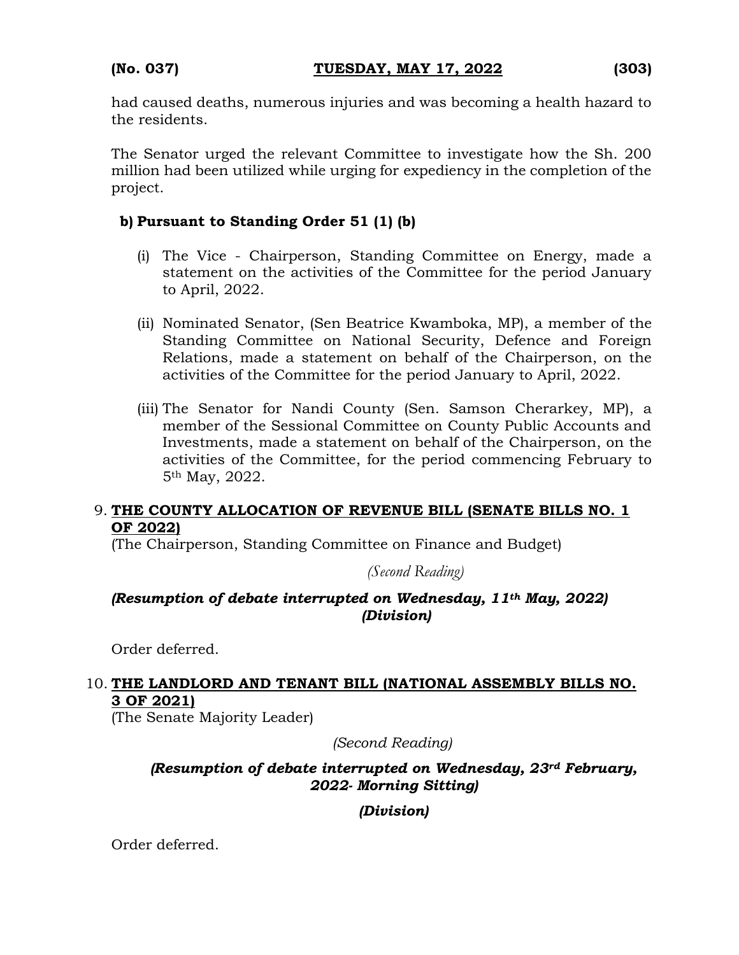had caused deaths, numerous injuries and was becoming a health hazard to the residents.

The Senator urged the relevant Committee to investigate how the Sh. 200 million had been utilized while urging for expediency in the completion of the project.

## **b) Pursuant to Standing Order 51 (1) (b)**

- (i) The Vice Chairperson, Standing Committee on Energy, made a statement on the activities of the Committee for the period January to April, 2022.
- (ii) Nominated Senator, (Sen Beatrice Kwamboka, MP), a member of the Standing Committee on National Security, Defence and Foreign Relations, made a statement on behalf of the Chairperson, on the activities of the Committee for the period January to April, 2022.
- (iii) The Senator for Nandi County (Sen. Samson Cherarkey, MP), a member of the Sessional Committee on County Public Accounts and Investments, made a statement on behalf of the Chairperson, on the activities of the Committee, for the period commencing February to 5th May, 2022.

### 9. **THE COUNTY ALLOCATION OF REVENUE BILL (SENATE BILLS NO. 1 OF 2022)**

(The Chairperson, Standing Committee on Finance and Budget)

*(Second Reading)*

## *(Resumption of debate interrupted on Wednesday, 11th May, 2022) (Division)*

Order deferred.

# 10. **THE LANDLORD AND TENANT BILL (NATIONAL ASSEMBLY BILLS NO. 3 OF 2021)**

(The Senate Majority Leader)

*(Second Reading)*

## *(Resumption of debate interrupted on Wednesday, 23rd February, 2022- Morning Sitting)*

*(Division)*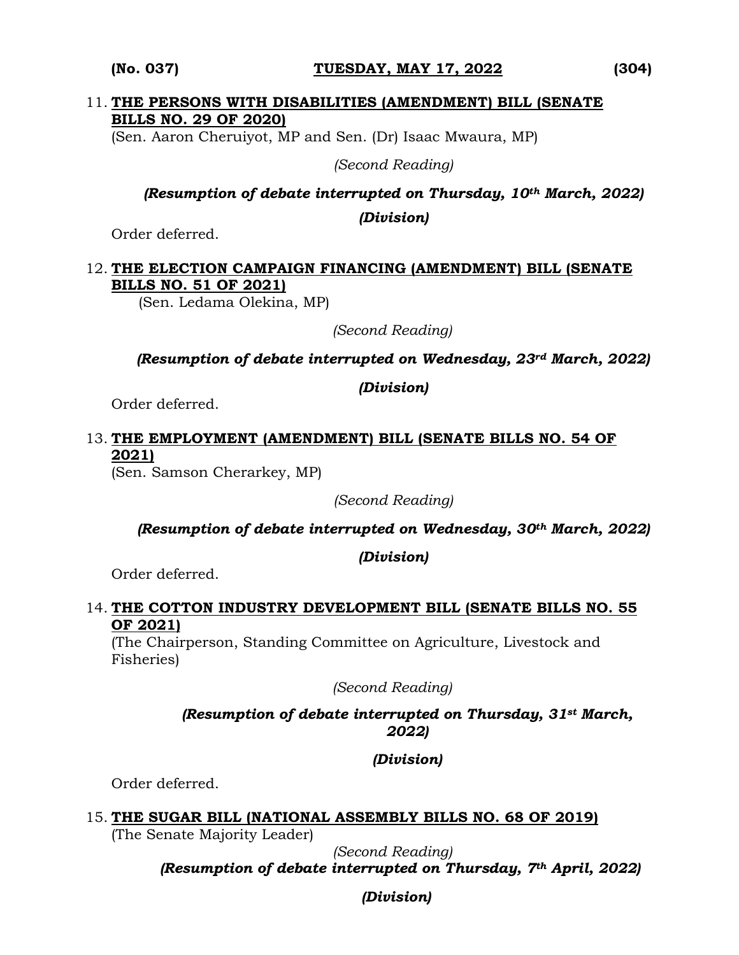#### **(No. 037) TUESDAY, MAY 17, 2022 (304)**

#### 11. **THE PERSONS WITH DISABILITIES (AMENDMENT) BILL (SENATE BILLS NO. 29 OF 2020)**

(Sen. Aaron Cheruiyot, MP and Sen. (Dr) Isaac Mwaura, MP)

*(Second Reading)*

*(Resumption of debate interrupted on Thursday, 10th March, 2022)*

*(Division)*

Order deferred.

## 12. **THE ELECTION CAMPAIGN FINANCING (AMENDMENT) BILL (SENATE BILLS NO. 51 OF 2021)**

(Sen. Ledama Olekina, MP)

*(Second Reading)*

*(Resumption of debate interrupted on Wednesday, 23rd March, 2022)*

*(Division)*

Order deferred.

# 13. **THE EMPLOYMENT (AMENDMENT) BILL (SENATE BILLS NO. 54 OF 2021)**

(Sen. Samson Cherarkey, MP)

*(Second Reading)*

*(Resumption of debate interrupted on Wednesday, 30th March, 2022)* 

*(Division)*

Order deferred.

#### 14. **THE COTTON INDUSTRY DEVELOPMENT BILL (SENATE BILLS NO. 55 OF 2021)**

(The Chairperson, Standing Committee on Agriculture, Livestock and Fisheries)

*(Second Reading)*

### *(Resumption of debate interrupted on Thursday, 31st March, 2022)*

# *(Division)*

Order deferred.

# 15. **THE SUGAR BILL (NATIONAL ASSEMBLY BILLS NO. 68 OF 2019)**

(The Senate Majority Leader)

*(Second Reading)*

*(Resumption of debate interrupted on Thursday, 7th April, 2022)*

*(Division)*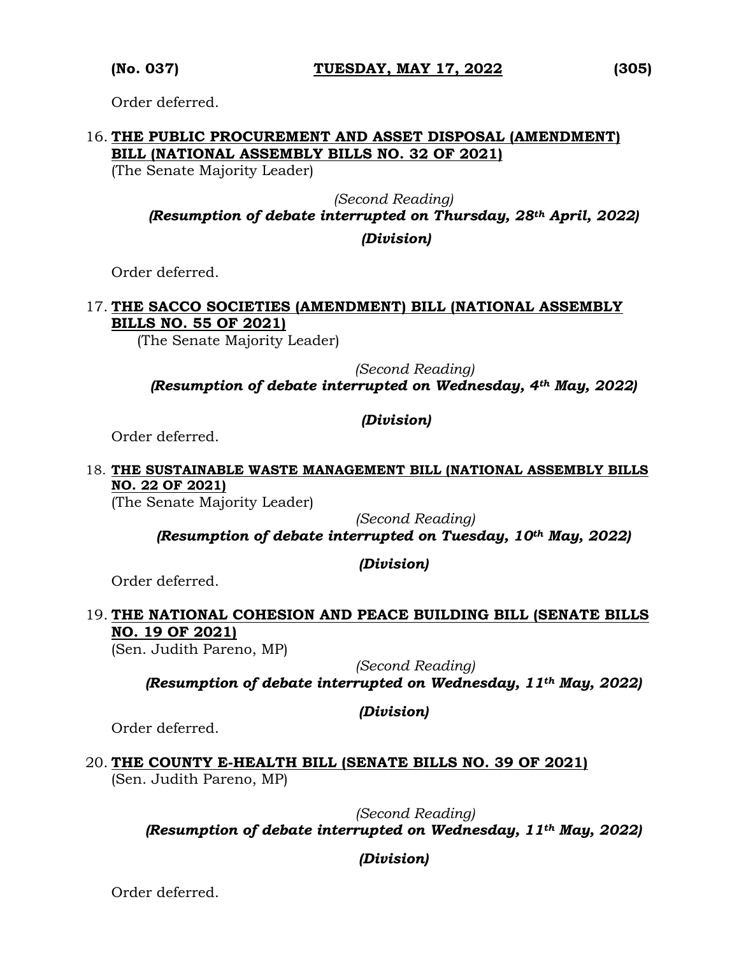Order deferred.

## 16. **THE PUBLIC PROCUREMENT AND ASSET DISPOSAL (AMENDMENT) BILL (NATIONAL ASSEMBLY BILLS NO. 32 OF 2021)**

(The Senate Majority Leader)

*(Second Reading)*

*(Resumption of debate interrupted on Thursday, 28th April, 2022)* 

*(Division)*

Order deferred.

### 17. **THE SACCO SOCIETIES (AMENDMENT) BILL (NATIONAL ASSEMBLY BILLS NO. 55 OF 2021)**

(The Senate Majority Leader)

 *(Second Reading)*

*(Resumption of debate interrupted on Wednesday, 4th May, 2022)* 

## *(Division)*

Order deferred.

#### 18. **THE SUSTAINABLE WASTE MANAGEMENT BILL (NATIONAL ASSEMBLY BILLS NO. 22 OF 2021)**

(The Senate Majority Leader)

*(Second Reading)*

*(Resumption of debate interrupted on Tuesday, 10th May, 2022)*

### *(Division)*

Order deferred.

# 19. **THE NATIONAL COHESION AND PEACE BUILDING BILL (SENATE BILLS NO. 19 OF 2021)**

(Sen. Judith Pareno, MP)

*(Second Reading)*

*(Resumption of debate interrupted on Wednesday, 11th May, 2022)*

### *(Division)*

Order deferred.

20. **THE COUNTY E-HEALTH BILL (SENATE BILLS NO. 39 OF 2021)**  (Sen. Judith Pareno, MP)

> *(Second Reading) (Resumption of debate interrupted on Wednesday, 11th May, 2022)*

# *(Division)*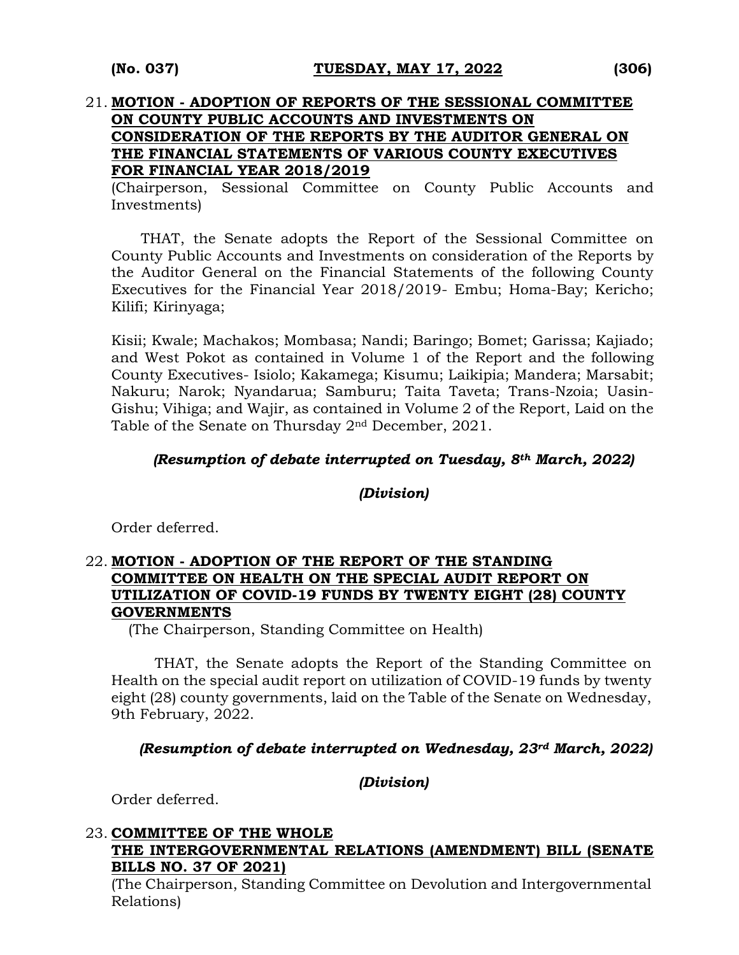### 21. **MOTION - ADOPTION OF REPORTS OF THE SESSIONAL COMMITTEE ON COUNTY PUBLIC ACCOUNTS AND INVESTMENTS ON CONSIDERATION OF THE REPORTS BY THE AUDITOR GENERAL ON THE FINANCIAL STATEMENTS OF VARIOUS COUNTY EXECUTIVES FOR FINANCIAL YEAR 2018/2019**

(Chairperson, Sessional Committee on County Public Accounts and Investments)

THAT, the Senate adopts the Report of the Sessional Committee on County Public Accounts and Investments on consideration of the Reports by the Auditor General on the Financial Statements of the following County Executives for the Financial Year 2018/2019- Embu; Homa-Bay; Kericho; Kilifi; Kirinyaga;

Kisii; Kwale; Machakos; Mombasa; Nandi; Baringo; Bomet; Garissa; Kajiado; and West Pokot as contained in Volume 1 of the Report and the following County Executives- Isiolo; Kakamega; Kisumu; Laikipia; Mandera; Marsabit; Nakuru; Narok; Nyandarua; Samburu; Taita Taveta; Trans-Nzoia; Uasin-Gishu; Vihiga; and Wajir, as contained in Volume 2 of the Report, Laid on the Table of the Senate on Thursday 2nd December, 2021.

#### *(Resumption of debate interrupted on Tuesday, 8th March, 2022)*

#### *(Division)*

Order deferred.

#### 22. **MOTION - ADOPTION OF THE REPORT OF THE STANDING COMMITTEE ON HEALTH ON THE SPECIAL AUDIT REPORT ON UTILIZATION OF COVID-19 FUNDS BY TWENTY EIGHT (28) COUNTY GOVERNMENTS**

(The Chairperson, Standing Committee on Health)

THAT, the Senate adopts the Report of the Standing Committee on Health on the special audit report on utilization of COVID-19 funds by twenty eight (28) county governments, laid on the Table of the Senate on Wednesday, 9th February, 2022.

#### *(Resumption of debate interrupted on Wednesday, 23rd March, 2022)*

*(Division)*

Order deferred.

#### 23. **COMMITTEE OF THE WHOLE THE INTERGOVERNMENTAL RELATIONS (AMENDMENT) BILL (SENATE BILLS NO. 37 OF 2021)**

(The Chairperson, Standing Committee on Devolution and Intergovernmental Relations)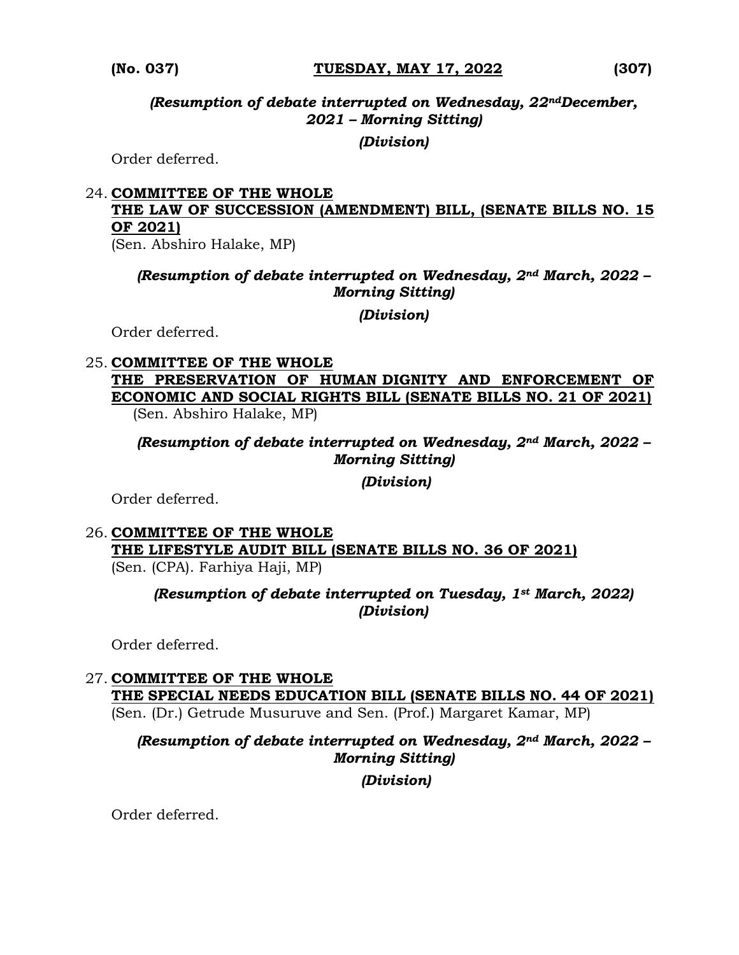*(Resumption of debate interrupted on Wednesday, 22ndDecember, 2021 – Morning Sitting)*

#### *(Division)*

Order deferred.

# 24. **COMMITTEE OF THE WHOLE THE LAW OF SUCCESSION (AMENDMENT) BILL, (SENATE BILLS NO. 15 OF 2021)**

(Sen. Abshiro Halake, MP)

## *(Resumption of debate interrupted on Wednesday, 2nd March, 2022 – Morning Sitting)*

*(Division)*

Order deferred.

#### 25. **COMMITTEE OF THE WHOLE**

**THE PRESERVATION OF HUMAN DIGNITY AND ENFORCEMENT OF ECONOMIC AND SOCIAL RIGHTS BILL (SENATE BILLS NO. 21 OF 2021)**  (Sen. Abshiro Halake, MP)

*(Resumption of debate interrupted on Wednesday, 2nd March, 2022 – Morning Sitting)* 

*(Division)*

Order deferred.

# 26. **COMMITTEE OF THE WHOLE THE LIFESTYLE AUDIT BILL (SENATE BILLS NO. 36 OF 2021)**

(Sen. (CPA). Farhiya Haji, MP)

*(Resumption of debate interrupted on Tuesday, 1st March, 2022) (Division)*

Order deferred.

#### 27. **COMMITTEE OF THE WHOLE THE SPECIAL NEEDS EDUCATION BILL (SENATE BILLS NO. 44 OF 2021)**

(Sen. (Dr.) Getrude Musuruve and Sen. (Prof.) Margaret Kamar, MP)

# *(Resumption of debate interrupted on Wednesday, 2nd March, 2022 – Morning Sitting)*

*(Division)*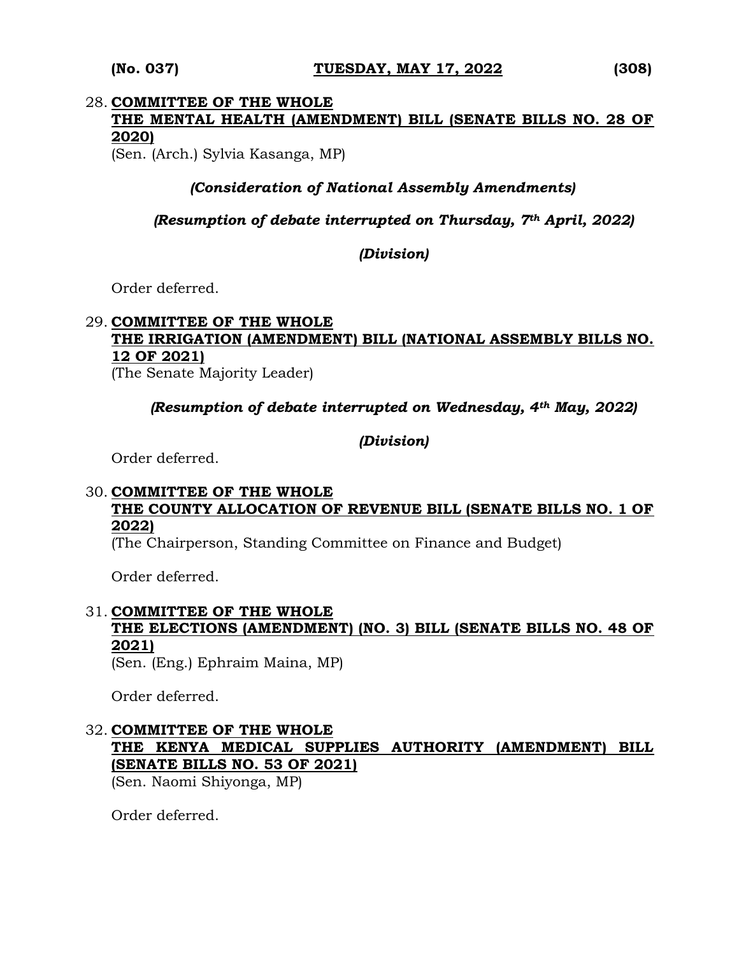## 28. **COMMITTEE OF THE WHOLE THE MENTAL HEALTH (AMENDMENT) BILL (SENATE BILLS NO. 28 OF 2020)**

(Sen. (Arch.) Sylvia Kasanga, MP)

#### *(Consideration of National Assembly Amendments)*

#### *(Resumption of debate interrupted on Thursday, 7th April, 2022)*

#### *(Division)*

Order deferred.

# 29. **COMMITTEE OF THE WHOLE THE IRRIGATION (AMENDMENT) BILL (NATIONAL ASSEMBLY BILLS NO. 12 OF 2021)**

(The Senate Majority Leader)

*(Resumption of debate interrupted on Wednesday, 4th May, 2022)*

*(Division)*

Order deferred.

#### 30. **COMMITTEE OF THE WHOLE THE COUNTY ALLOCATION OF REVENUE BILL (SENATE BILLS NO. 1 OF 2022)**

(The Chairperson, Standing Committee on Finance and Budget)

Order deferred.

## 31. **COMMITTEE OF THE WHOLE THE ELECTIONS (AMENDMENT) (NO. 3) BILL (SENATE BILLS NO. 48 OF 2021)**

(Sen. (Eng.) Ephraim Maina, MP)

Order deferred.

32. **COMMITTEE OF THE WHOLE THE KENYA MEDICAL SUPPLIES AUTHORITY (AMENDMENT) BILL (SENATE BILLS NO. 53 OF 2021)** 

(Sen. Naomi Shiyonga, MP)